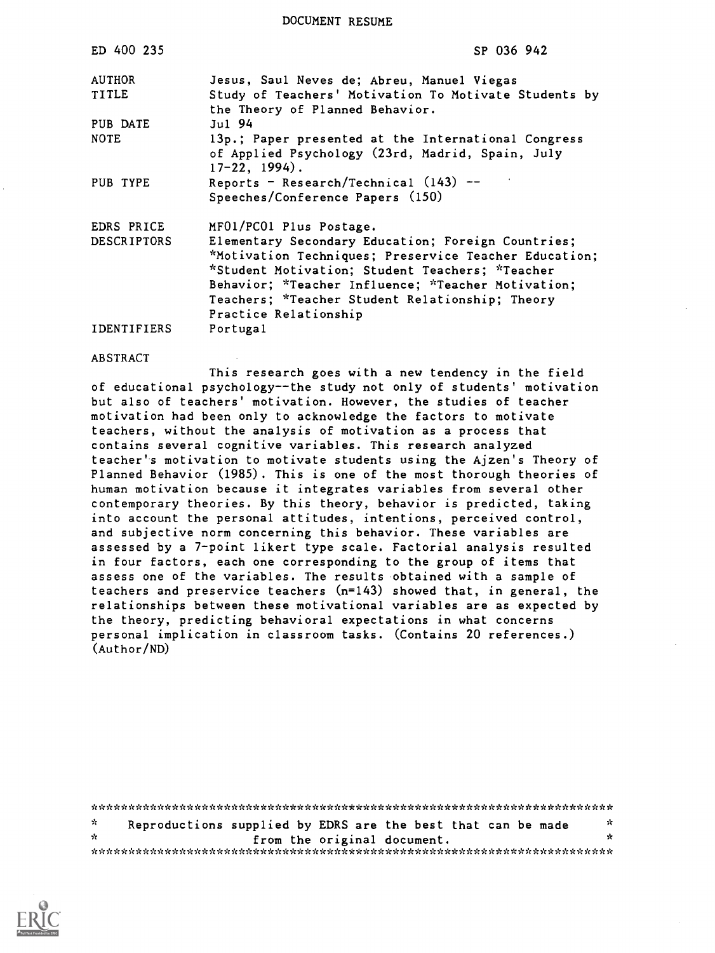DOCUMENT RESUME

| ED 400 235         | SP 036 942                                                                                                                                                                                                                                                                                       |
|--------------------|--------------------------------------------------------------------------------------------------------------------------------------------------------------------------------------------------------------------------------------------------------------------------------------------------|
| <b>AUTHOR</b>      | Jesus, Saul Neves de; Abreu, Manuel Viegas                                                                                                                                                                                                                                                       |
| <b>TITLE</b>       | Study of Teachers' Motivation To Motivate Students by<br>the Theory of Planned Behavior.                                                                                                                                                                                                         |
| PUB DATE           | $Jul$ 94                                                                                                                                                                                                                                                                                         |
| <b>NOTE</b>        | 13p.; Paper presented at the International Congress<br>of Applied Psychology (23rd, Madrid, Spain, July<br>$17-22, 1994$ .                                                                                                                                                                       |
| PUB TYPE           | Reports - Research/Technical $(143)$ --<br>Speeches/Conference Papers (150)                                                                                                                                                                                                                      |
| EDRS PRICE         | MF01/PC01 Plus Postage.                                                                                                                                                                                                                                                                          |
| <b>DESCRIPTORS</b> | Elementary Secondary Education; Foreign Countries;<br>*Motivation Techniques; Preservice Teacher Education;<br>*Student Motivation; Student Teachers; *Teacher<br>Behavior; *Teacher Influence; *Teacher Motivation;<br>Teachers; *Teacher Student Relationship; Theory<br>Practice Relationship |
| <b>IDENTIFIERS</b> | Portugal                                                                                                                                                                                                                                                                                         |

ABSTRACT

This research goes with a new tendency in the field of educational psychology--the study not only of students' motivation but also of teachers' motivation. However, the studies of teacher motivation had been only to acknowledge the factors to motivate teachers, without the analysis of motivation as a process that contains several cognitive variables. This research analyzed teacher's motivation to motivate students using the Ajzen's Theory of Planned Behavior (1985). This is one of the most thorough theories of human motivation because it integrates variables from several other contemporary theories. By this theory, behavior is predicted, taking into account the personal attitudes, intentions, perceived control, and subjective norm concerning this behavior. These variables are assessed by a 7-point likert type scale. Factorial analysis resulted in four factors, each one corresponding to the group of items that assess one of the variables. The results obtained with a sample of teachers and preservice teachers (n=143) showed that, in general, the relationships between these motivational variables are as expected by the theory, predicting behavioral expectations in what concerns personal implication in classroom tasks. (Contains 20 references.) (Author/ND)

\*\*\*AAAA::\*\*\*\*\*\*\*\*\*\*\*\*\*\*\*\*\*\*\*\*\*\*\*\*\*\*\*\*\*\*\*\*\*\*\*\*\*\*\*\*\*\*\*\*\*\*\*\*\*\*\*\*\*\*\*\*\*\*\*\*\*\*\*  $\mathcal{A}$ Reproductions supplied by EDRS are the best that can be made sk. from the original document. \*AAAI,AA;c\*\*\*\*\*\*\*\*\*-A\*\*\*\*\*\*\*\*\*\*-AA\*\*\*\*\*\*AA\*\*A\*\*/.AAki.k\*\*\*\*\*\*\*\*\*\*\*\*\*\*\*\*\*\*\*\*\*\*

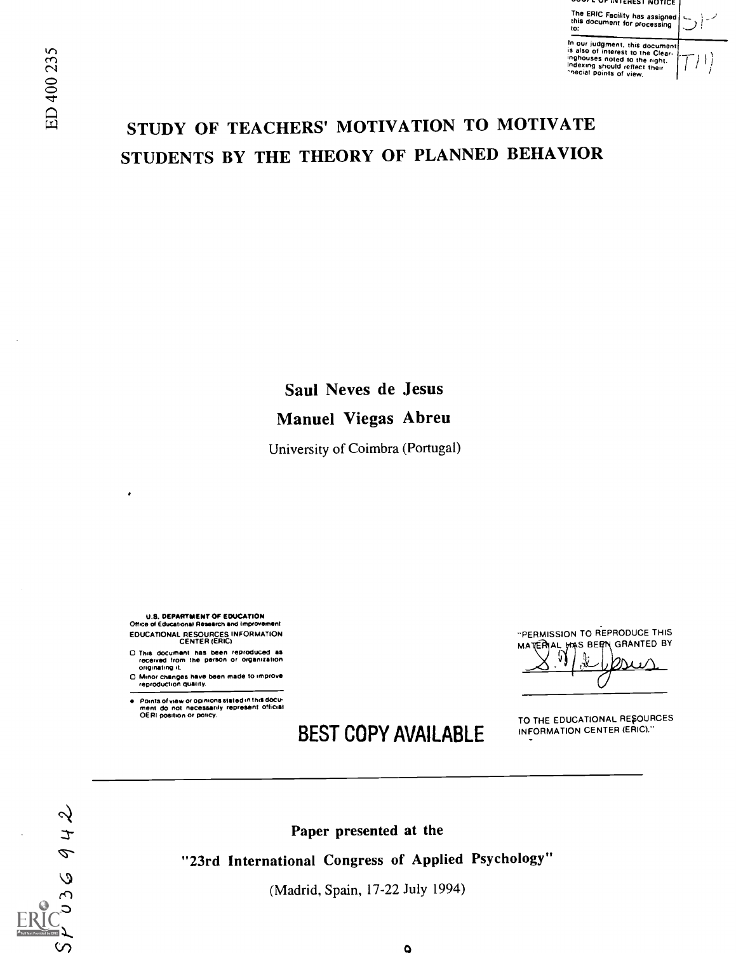"PERMISSION TO REPRODUCE THIS MATTERIAL WAS BEEN GRANTED BY

TO THE EDUCATIONAL RESOURCES INFORMATION CENTER (ERIC)."

# STUDY OF TEACHERS' MOTIVATION TO MOTIVATE STUDENTS BY THE THEORY OF PLANNED BEHAVIOR

Saul Neves de Jesus Manuel Viegas Abreu

University of Coimbra (Portugal)

U.S. DEPARTMENT OF EDUCATION Office of Educational Research and Improvement EDUCATIONAL RESOURCES INFORMATION CENTER IERIC)

0 This document has been reproduced as received from the person or organization Originating it.

0 Minor changes have been made to improve reproduction Quality.

Points of view or opinions stated in this docu-ment do not necessarily represent official OERI position or policy.

# BEST COPY AVAILABLE

P  $\circ$ ပာ

 $\alpha$ <br>  $\rightarrow$  Paper presented at the

"23rd International Congress of Applied Psychology"

 $\varphi$  (Madrid, Spain, 17-22 July 1994)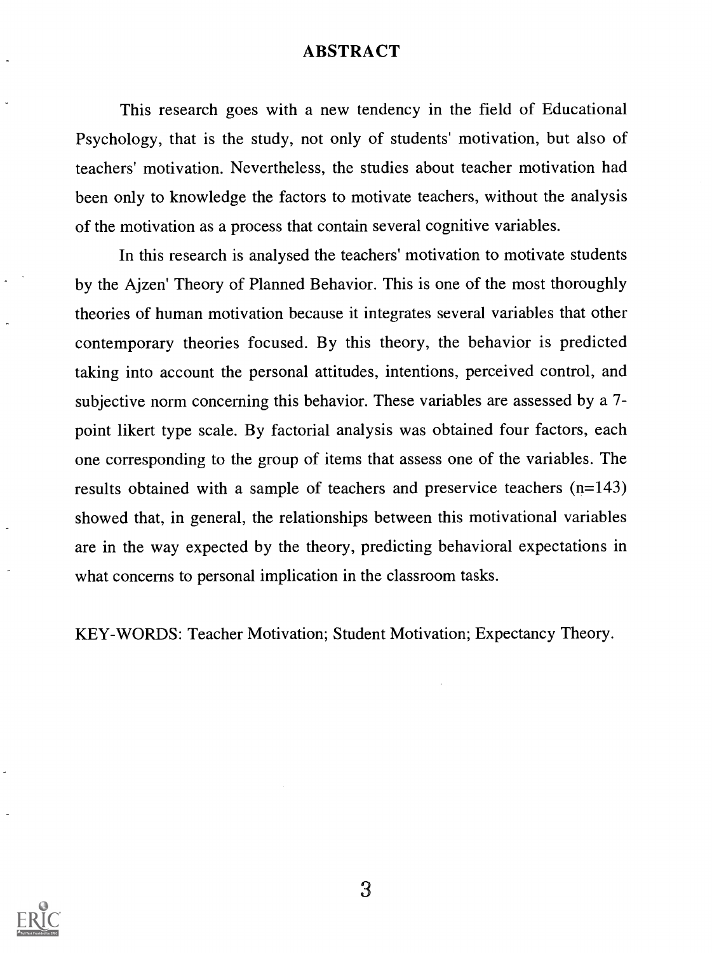#### ABSTRACT

This research goes with a new tendency in the field of Educational Psychology, that is the study, not only of students' motivation, but also of teachers' motivation. Nevertheless, the studies about teacher motivation had been only to knowledge the factors to motivate teachers, without the analysis of the motivation as a process that contain several cognitive variables.

In this research is analysed the teachers' motivation to motivate students by the Ajzen' Theory of Planned Behavior. This is one of the most thoroughly theories of human motivation because it integrates several variables that other contemporary theories focused. By this theory, the behavior is predicted taking into account the personal attitudes, intentions, perceived control, and subjective norm concerning this behavior. These variables are assessed by a 7 point likert type scale. By factorial analysis was obtained four factors, each one corresponding to the group of items that assess one of the variables. The results obtained with a sample of teachers and preservice teachers (n=143) showed that, in general, the relationships between this motivational variables are in the way expected by the theory, predicting behavioral expectations in what concerns to personal implication in the classroom tasks.

KEY-WORDS: Teacher Motivation; Student Motivation; Expectancy Theory.

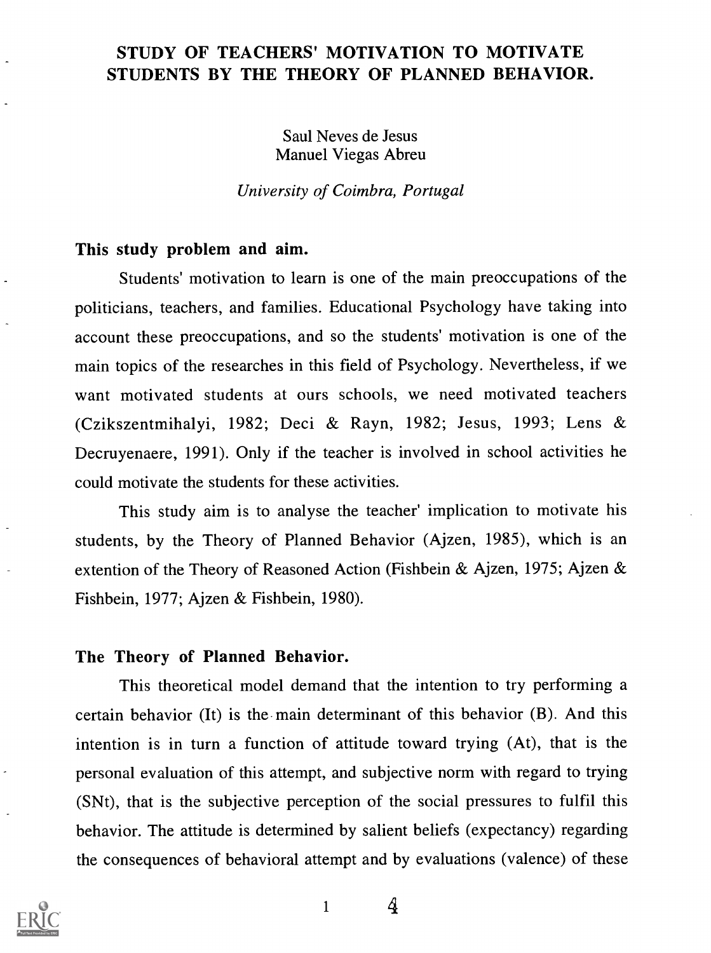# STUDY OF TEACHERS' MOTIVATION TO MOTIVATE STUDENTS BY THE THEORY OF PLANNED BEHAVIOR.

Saul Neves de Jesus Manuel Viegas Abreu

University of Coimbra, Portugal

### This study problem and aim.

Students' motivation to learn is one of the main preoccupations of the politicians, teachers, and families. Educational Psychology have taking into account these preoccupations, and so the students' motivation is one of the main topics of the researches in this field of Psychology. Nevertheless, if we want motivated students at ours schools, we need motivated teachers (Czikszentmihalyi, 1982; Deci & Rayn, 1982; Jesus, 1993; Lens & Decruyenaere, 1991). Only if the teacher is involved in school activities he could motivate the students for these activities.

This study aim is to analyse the teacher' implication to motivate his students, by the Theory of Planned Behavior (Ajzen, 1985), which is an extention of the Theory of Reasoned Action (Fishbein & Ajzen, 1975; Ajzen & Fishbein, 1977; Ajzen & Fishbein, 1980).

#### The Theory of Planned Behavior.

This theoretical model demand that the intention to try performing a certain behavior (It) is the- main determinant of this behavior (B). And this intention is in turn a function of attitude toward trying (At), that is the personal evaluation of this attempt, and subjective norm with regard to trying (SNt), that is the subjective perception of the social pressures to fulfil this behavior. The attitude is determined by salient beliefs (expectancy) regarding the consequences of behavioral attempt and by evaluations (valence) of these

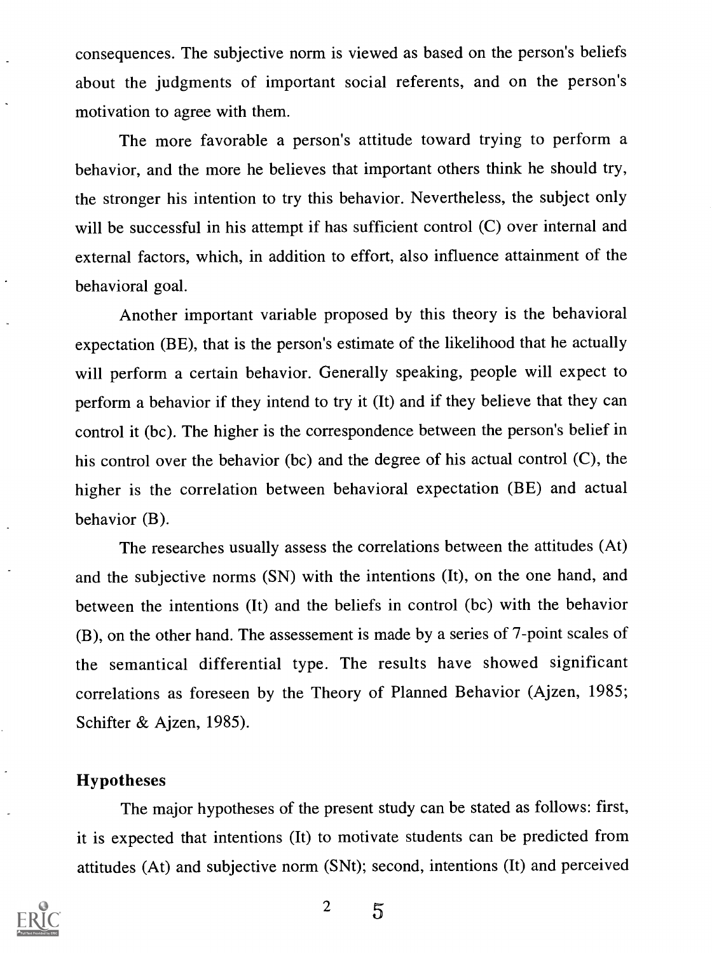consequences. The subjective norm is viewed as based on the person's beliefs about the judgments of important social referents, and on the person's motivation to agree with them.

The more favorable a person's attitude toward trying to perform a behavior, and the more he believes that important others think he should try, the stronger his intention to try this behavior. Nevertheless, the subject only will be successful in his attempt if has sufficient control (C) over internal and external factors, which, in addition to effort, also influence attainment of the behavioral goal.

Another important variable proposed by this theory is the behavioral expectation (BE), that is the person's estimate of the likelihood that he actually will perform a certain behavior. Generally speaking, people will expect to perform a behavior if they intend to try it (It) and if they believe that they can control it (bc). The higher is the correspondence between the person's belief in his control over the behavior (bc) and the degree of his actual control (C), the higher is the correlation between behavioral expectation (BE) and actual behavior (B).

The researches usually assess the correlations between the attitudes (At) and the subjective norms (SN) with the intentions (It), on the one hand, and between the intentions (It) and the beliefs in control (bc) with the behavior (B), on the other hand. The assessement is made by a series of 7-point scales of the semantical differential type. The results have showed significant correlations as foreseen by the Theory of Planned Behavior (Ajzen, 1985; Schifter & Ajzen, 1985).

### Hypotheses

The major hypotheses of the present study can be stated as follows: first, it is expected that intentions (It) to motivate students can be predicted from attitudes (At) and subjective norm (SNt); second, intentions (It) and perceived

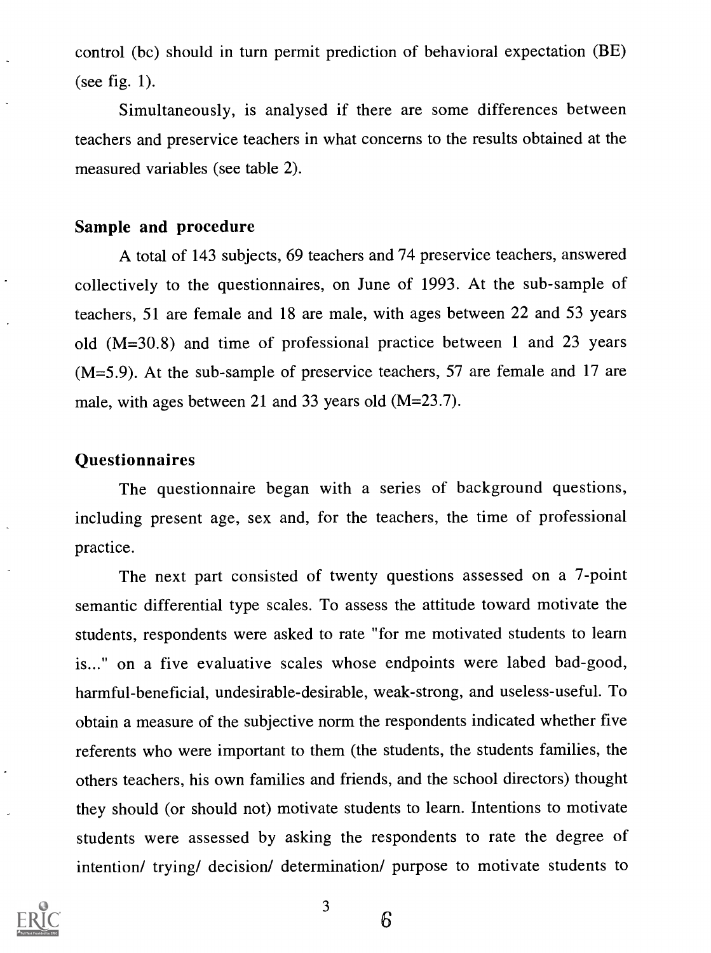control (bc) should in turn permit prediction of behavioral expectation (BE) (see fig. 1).

Simultaneously, is analysed if there are some differences between teachers and preservice teachers in what concerns to the results obtained at the measured variables (see table 2).

### Sample and procedure

A total of 143 subjects, 69 teachers and 74 preservice teachers, answered collectively to the questionnaires, on June of 1993. At the sub-sample of teachers, 51 are female and 18 are male, with ages between 22 and 53 years old (M=30.8) and time of professional practice between 1 and 23 years (M=5.9). At the sub-sample of preservice teachers, 57 are female and 17 are male, with ages between 21 and 33 years old (M=23.7).

### **Questionnaires**

The questionnaire began with a series of background questions, including present age, sex and, for the teachers, the time of professional practice.

The next part consisted of twenty questions assessed on a 7-point semantic differential type scales. To assess the attitude toward motivate the students, respondents were asked to rate "for me motivated students to learn is..." on a five evaluative scales whose endpoints were labed bad-good, harmful-beneficial, undesirable-desirable, weak-strong, and useless-useful. To obtain a measure of the subjective norm the respondents indicated whether five referents who were important to them (the students, the students families, the others teachers, his own families and friends, and the school directors) thought they should (or should not) motivate students to learn. Intentions to motivate students were assessed by asking the respondents to rate the degree of intention/ trying/ decision/ determination/ purpose to motivate students to

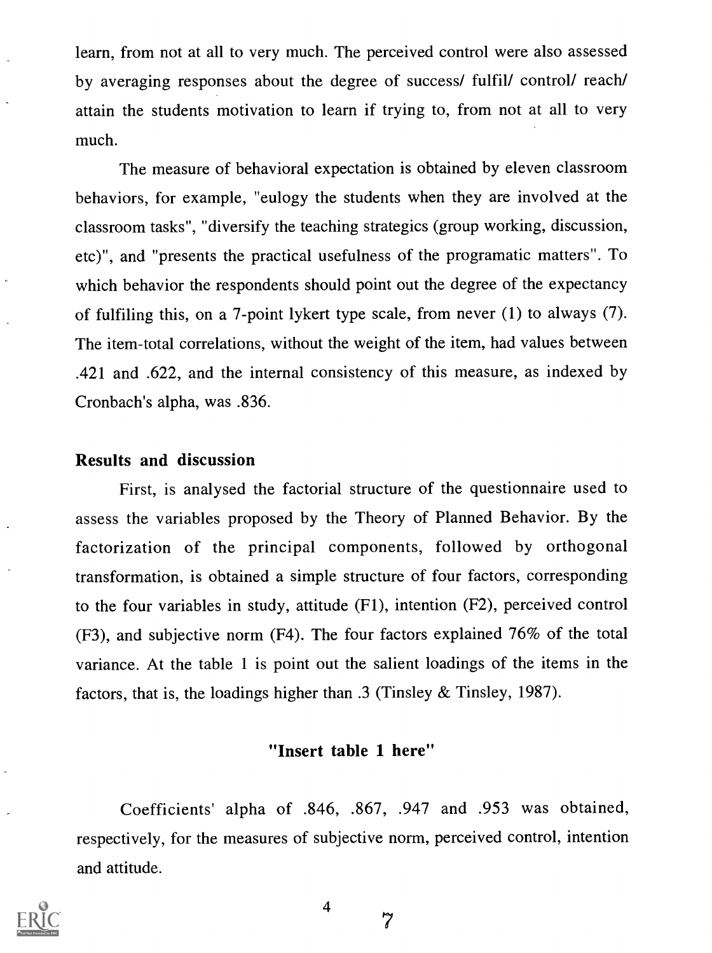learn, from not at all to very much. The perceived control were also assessed by averaging responses about the degree of success/ fulfil/ control/ reach/ attain the students motivation to learn if trying to, from not at all to very much.

The measure of behavioral expectation is obtained by eleven classroom behaviors, for example, "eulogy the students when they are involved at the classroom tasks", "diversify the teaching strategics (group working, discussion, etc)", and "presents the practical usefulness of the programatic matters". To which behavior the respondents should point out the degree of the expectancy of fulfiling this, on a 7-point lykert type scale, from never (1) to always (7). The item-total correlations, without the weight of the item, had values between .421 and .622, and the internal consistency of this measure, as indexed by Cronbach's alpha, was .836.

#### Results and discussion

First, is analysed the factorial structure of the questionnaire used to assess the variables proposed by the Theory of Planned Behavior. By the factorization of the principal components, followed by orthogonal transformation, is obtained a simple structure of four factors, corresponding to the four variables in study, attitude (F1), intention (F2), perceived control (F3), and subjective norm (F4). The four factors explained 76% of the total variance. At the table 1 is point out the salient loadings of the items in the factors, that is, the loadings higher than .3 (Tinsley & Tinsley, 1987).

# "Insert table 1 here"

Coefficients' alpha of .846, .867, .947 and .953 was obtained, respectively, for the measures of subjective norm, perceived control, intention and attitude.

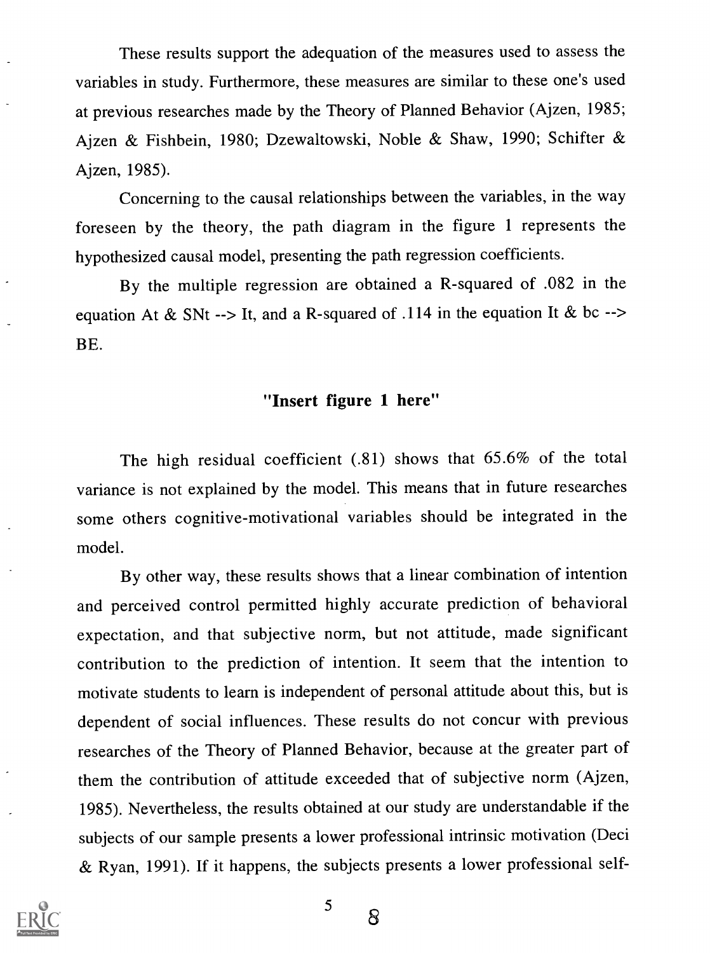These results support the adequation of the measures used to assess the variables in study. Furthermore, these measures are similar to these one's used at previous researches made by the Theory of Planned Behavior (Ajzen, 1985; Ajzen & Fishbein, 1980; Dzewaltowski, Noble & Shaw, 1990; Schifter & Ajzen, 1985).

Concerning to the causal relationships between the variables, in the way foreseen by the theory, the path diagram in the figure 1 represents the hypothesized causal model, presenting the path regression coefficients.

By the multiple regression are obtained a R-squared of .082 in the equation At & SNt --> It, and a R-squared of .114 in the equation It & bc --> BE.

# "Insert figure 1 here"

The high residual coefficient (.81) shows that 65.6% of the total variance is not explained by the model. This means that in future researches some others cognitive-motivational variables should be integrated in the model.

By other way, these results shows that a linear combination of intention and perceived control permitted highly accurate prediction of behavioral expectation, and that subjective norm, but not attitude, made significant contribution to the prediction of intention. It seem that the intention to motivate students to learn is independent of personal attitude about this, but is dependent of social influences. These results do not concur with previous researches of the Theory of Planned Behavior, because at the greater part of them the contribution of attitude exceeded that of subjective norm (Ajzen, 1985). Nevertheless, the results obtained at our study are understandable if the subjects of our sample presents a lower professional intrinsic motivation (Deci & Ryan, 1991). If it happens, the subjects presents a lower professional self-



5

S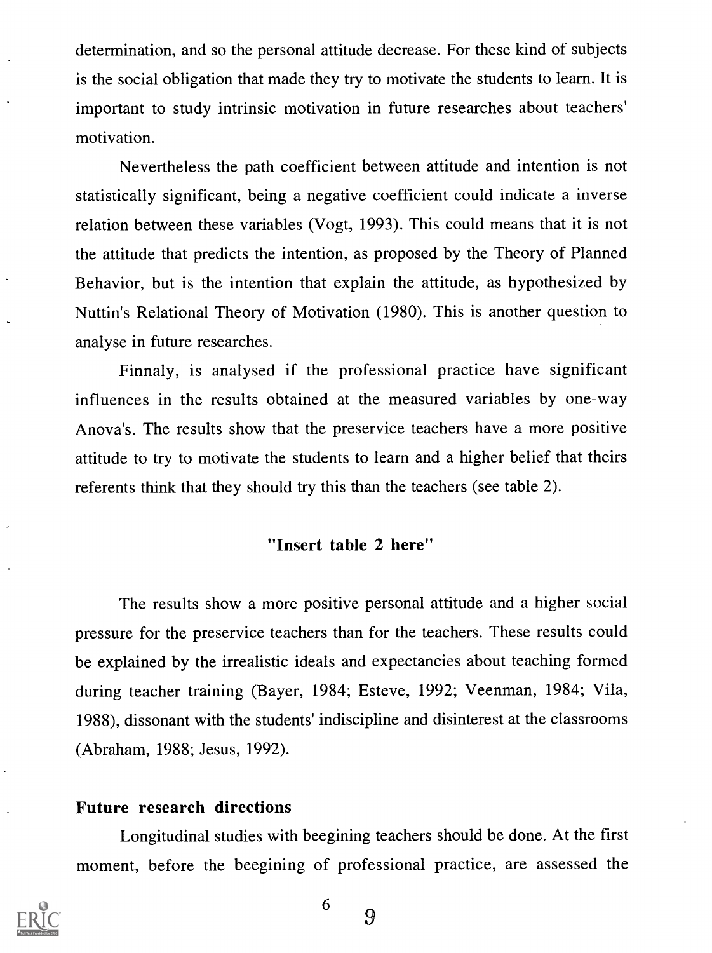determination, and so the personal attitude decrease. For these kind of subjects is the social obligation that made they try to motivate the students to learn. It is important to study intrinsic motivation in future researches about teachers' motivation.

Nevertheless the path coefficient between attitude and intention is not statistically significant, being a negative coefficient could indicate a inverse relation between these variables (Vogt, 1993). This could means that it is not the attitude that predicts the intention, as proposed by the Theory of Planned Behavior, but is the intention that explain the attitude, as hypothesized by Nuttin's Relational Theory of Motivation (1980). This is another question to analyse in future researches.

Finnaly, is analysed if the professional practice have significant influences in the results obtained at the measured variables by one-way Anova's. The results show that the preservice teachers have a more positive attitude to try to motivate the students to learn and a higher belief that theirs referents think that they should try this than the teachers (see table 2).

### "Insert table 2 here"

The results show a more positive personal attitude and a higher social pressure for the preservice teachers than for the teachers. These results could be explained by the irrealistic ideals and expectancies about teaching formed during teacher training (Bayer, 1984; Esteve, 1992; Veenman, 1984; Vila, 1988), dissonant with the students' indiscipline and disinterest at the classrooms (Abraham, 1988; Jesus, 1992).

#### Future research directions

Longitudinal studies with beegining teachers should be done. At the first moment, before the beegining of professional practice, are assessed the



9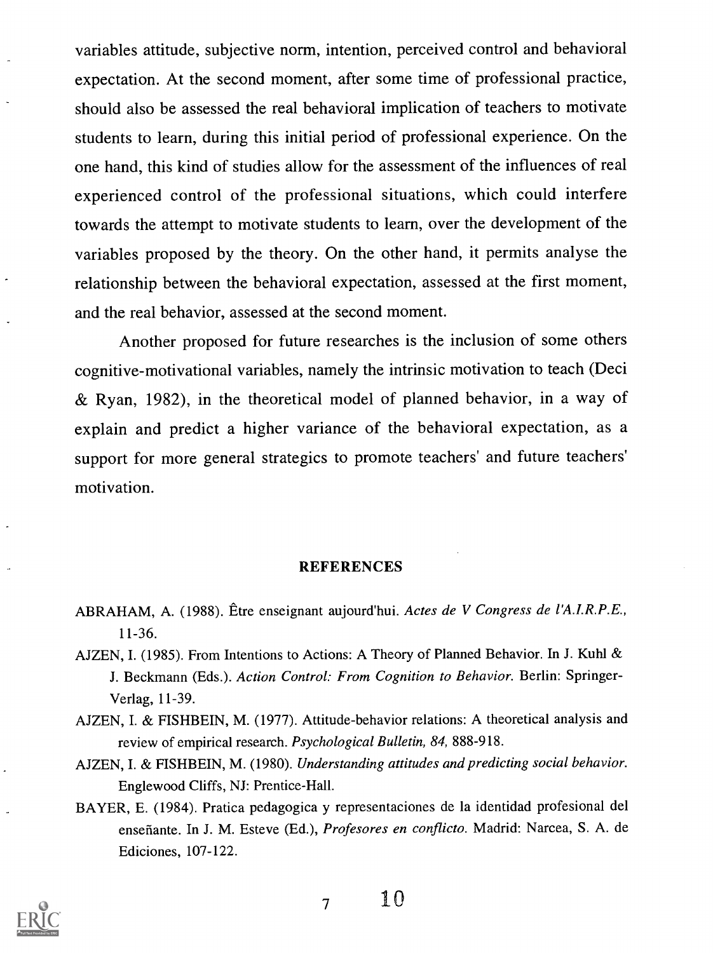variables attitude, subjective norm, intention, perceived control and behavioral expectation. At the second moment, after some time of professional practice, should also be assessed the real behavioral implication of teachers to motivate students to learn, during this initial period of professional experience. On the one hand, this kind of studies allow for the assessment of the influences of real experienced control of the professional situations, which could interfere towards the attempt to motivate students to learn, over the development of the variables proposed by the theory. On the other hand, it permits analyse the relationship between the behavioral expectation, assessed at the first moment, and the real behavior, assessed at the second moment.

Another proposed for future researches is the inclusion of some others cognitive-motivational variables, namely the intrinsic motivation to teach (Deci & Ryan, 1982), in the theoretical model of planned behavior, in a way of explain and predict a higher variance of the behavioral expectation, as a support for more general strategics to promote teachers' and future teachers' motivation.

#### REFERENCES

- ABRAHAM, A. (1988). Etre enseignant aujourd'hui. Actes de V Congress de l'A.I.R.P.E., 11-36.
- AJZEN, I. (1985). From Intentions to Actions: A Theory of Planned Behavior. In J. Kuhl & J. Beckmann (Eds.). Action Control: From Cognition to Behavior. Berlin: Springer-Verlag, 11-39.
- AJZEN, I. & FISHBEIN, M. (1977). Attitude-behavior relations: A theoretical analysis and review of empirical research. Psychological Bulletin, 84, 888-918.
- AJZEN, I. & FISHBEIN, M. (1980). Understanding attitudes and predicting social behavior. Englewood Cliffs, NJ: Prentice-Hall.
- BAYER, E. (1984). Pratica pedagogica y representaciones de la identidad profesional del enseñante. In J. M. Esteve (Ed.), Profesores en conflicto. Madrid: Narcea, S. A. de Ediciones, 107-122.

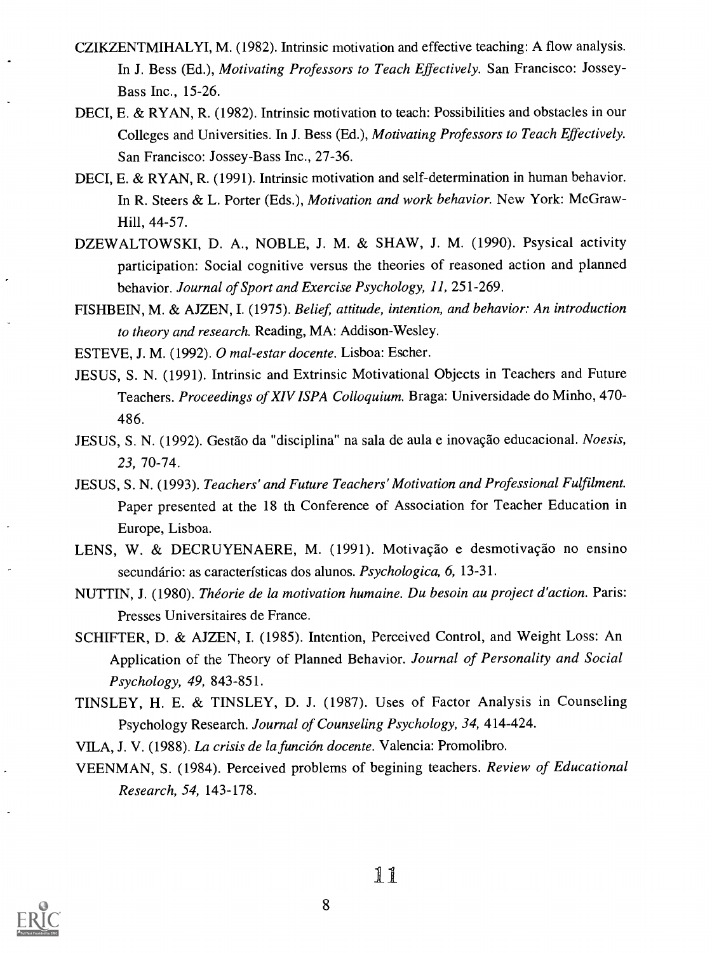- CZIKZENTMIHALYI, M. (1982). Intrinsic motivation and effective teaching: A flow analysis. In J. Bess (Ed.), Motivating Professors to Teach Effectively. San Francisco: Jossey-Bass Inc., 15-26.
- DECI, E. & RYAN, R. (1982). Intrinsic motivation to teach: Possibilities and obstacles in our Colleges and Universities. In J. Bess (Ed.), Motivating Professors to Teach Effectively. San Francisco: Jossey-Bass Inc., 27-36.
- DECI, E. & RYAN, R. (1991). Intrinsic motivation and self-determination in human behavior. In R. Steers & L. Porter (Eds.), Motivation and work behavior. New York: McGraw-Hill, 44-57.
- DZEWALTOWSKI, D. A., NOBLE, J. M. & SHAW, J. M. (1990). Psysical activity participation: Social cognitive versus the theories of reasoned action and planned behavior. Journal of Sport and Exercise Psychology, 11, 251-269.
- FISHBEIN, M. & AJZEN, I. (1975). Belief, attitude, intention, and behavior: An introduction to theory and research. Reading, MA: Addison-Wesley.

ESTEVE, J. M. (1992). 0 mal-estar docente. Lisboa: Escher.

- JESUS, S. N. (1991). Intrinsic and Extrinsic Motivational Objects in Teachers and Future Teachers. Proceedings of XIV ISPA Colloquium. Braga: Universidade do Minho, 470- 486.
- JESUS, S. N. (1992). Gestão da "disciplina" na sala de aula e inovação educacional. Noesis, 23, 70-74.
- JESUS, S. N. (1993). Teachers' and Future Teachers' Motivation and Professional Fulfilment. Paper presented at the 18 th Conference of Association for Teacher Education in Europe, Lisboa.
- LENS, W. & DECRUYENAERE, M. (1991). Motivação e desmotivação no ensino secundário: as características dos alunos. Psychologica, 6, 13-31.
- NUTTIN, J. (1980). Théorie de la motivation humaine. Du besoin au project d'action. Paris: Presses Universitaires de France.
- SCHIFTER, D. & AJZEN, I. (1985). Intention, Perceived Control, and Weight Loss: An Application of the Theory of Planned Behavior. Journal of Personality and Social Psychology, 49, 843-851.
- TINSLEY, H. E. & TINSLEY, D. J. (1987). Uses of Factor Analysis in Counseling Psychology Research. Journal of Counseling Psychology, 34, 414-424.

VILA, J. V. (1988). La crisis de la función docente. Valencia: Promolibro.

VEENMAN, S. (1984). Perceived problems of begining teachers. Review of Educational Research, 54, 143-178.

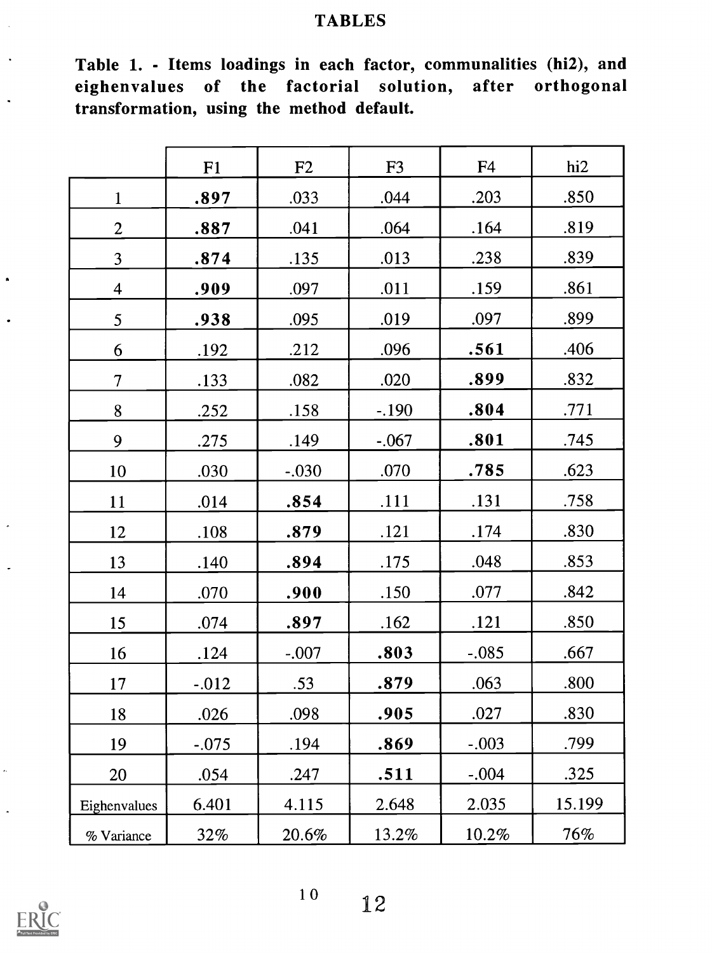# TABLES

| Table 1. - Items loadings in each factor, communalities (hi2), and |  |  |  |
|--------------------------------------------------------------------|--|--|--|
| eighenvalues of the factorial solution, after orthogonal           |  |  |  |
| transformation, using the method default.                          |  |  |  |

|                 | F1       | F2      | F <sub>3</sub> | F <sub>4</sub> | h2     |
|-----------------|----------|---------|----------------|----------------|--------|
| $\mathbf{1}$    | .897     | .033    | .044           | .203           | .850   |
| $\overline{2}$  | .887     | .041    | .064           | .164           | .819   |
| $\overline{3}$  | .874     | .135    | .013           | .238           | .839   |
| $\overline{4}$  | .909     | .097    | .011           | .159           | .861   |
| 5 <sup>5</sup>  | .938     | .095    | .019           | .097           | .899   |
| 6               | .192     | .212    | .096           | .561           | .406   |
| $7\overline{ }$ | .133     | .082    | .020           | .899           | .832   |
| 8               | .252     | .158    | $-.190$        | .804           | .771   |
| 9               | .275     | .149    | $-.067$        | .801           | .745   |
| 10              | .030     | $-.030$ | .070           | .785           | .623   |
| 11              | .014     | .854    | .111           | .131           | .758   |
| 12              | .108     | .879    | .121           | .174           | .830   |
| 13              | .140     | .894    | .175           | .048           | .853   |
| 14              | .070     | .900    | .150           | .077           | .842   |
| 15              | .074     | .897    | .162           | .121           | .850   |
| 16              | .124     | $-.007$ | .803           | $-.085$        | .667   |
| 17              | $-0.012$ | .53     | .879           | .063           | .800   |
| 18              | .026     | .098    | .905           | .027           | .830   |
| 19              | $-.075$  | .194    | .869           | $-.003$        | .799   |
| 20              | .054     | .247    | .511           | $-.004$        | .325   |
| Eighenvalues    | 6.401    | 4.115   | 2.648          | 2.035          | 15.199 |
| % Variance      | 32%      | 20.6%   | 13.2%          | 10.2%          | 76%    |



 $\bar{\phantom{a}}$ 

i.

í.

 $\overline{a}$ 

l,

 $\overline{\phantom{a}}$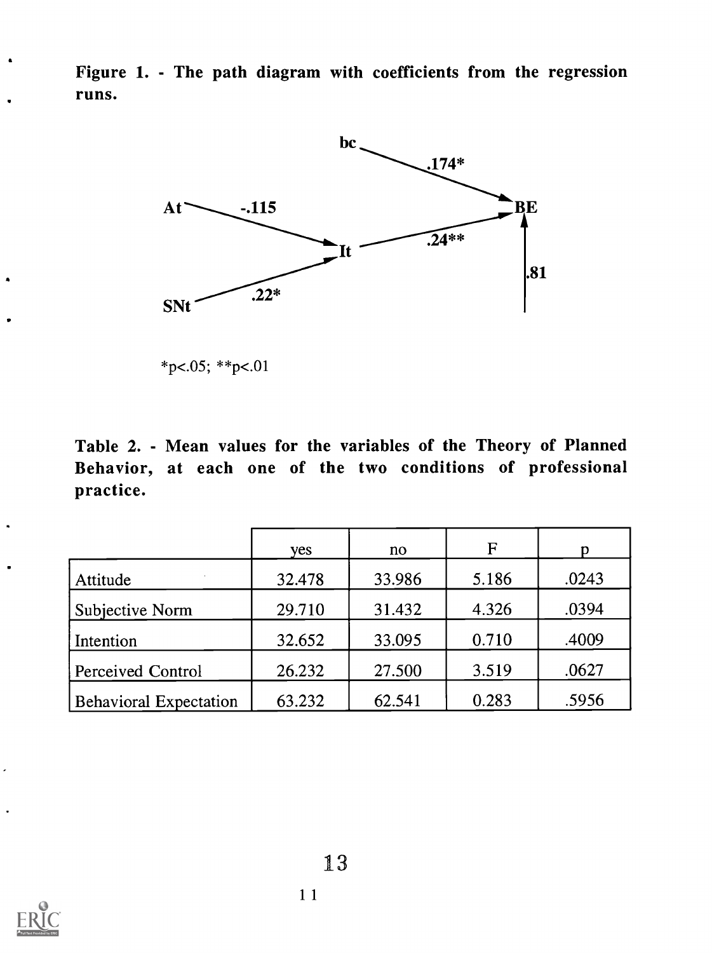Figure 1. - The path diagram with coefficients from the regression runs.



 $*p<.05; **p<.01$ 

Table 2. - Mean values for the variables of the Theory of Planned Behavior, at each one of the two conditions of professional practice.

|                               | yes    | no     | $\mathbf F$ |       |
|-------------------------------|--------|--------|-------------|-------|
| Attitude                      | 32.478 | 33.986 | 5.186       | .0243 |
| Subjective Norm               | 29.710 | 31.432 | 4.326       | .0394 |
| Intention                     | 32.652 | 33.095 | 0.710       | .4009 |
| Perceived Control             | 26.232 | 27.500 | 3.519       | .0627 |
| <b>Behavioral Expectation</b> | 63.232 | 62.541 | 0.283       | .5956 |



 $\overline{\phantom{a}}$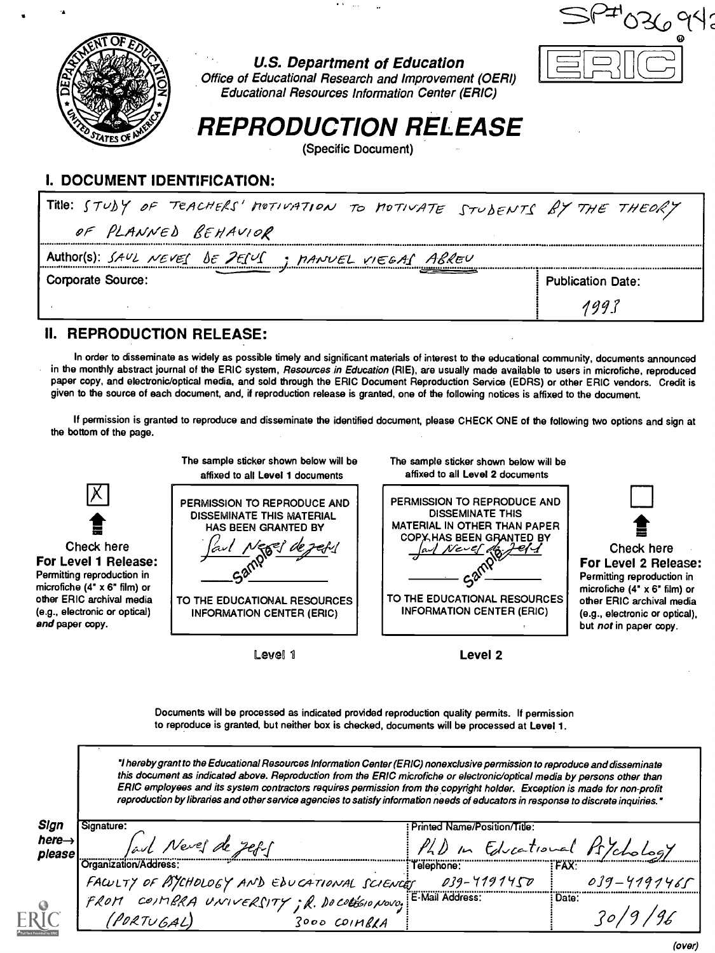

 $\bullet$   $\Lambda$   $\sim$   $_{\rm 2000}$ 

| $M$ $\sim$ $M$ $\sim$ $M$ $\sim$ $M$ $\sim$ $M$ $\sim$ $M$ $\sim$ $M$ $\sim$ $M$ |  | T68C |                          |
|----------------------------------------------------------------------------------|--|------|--------------------------|
| Corporate Source:                                                                |  |      | <b>Publication Date:</b> |
|                                                                                  |  |      | aa                       |

#### II. REPRODUCTION RELEASE:

In order to disseminate as widely as possible timely and significant materials of interest to the educational community, documents announced in the monthly abstract journal of the ERIC system, Resources in Education (RIE), are usually made available to users in microfiche, reproduced paper copy, and electronic/optical media, and sold through the ERIC Document Reproduction Service (EDRS) or other ERIC vendors. Credit is given to the source of each document, and, if reproduction release is granted, one of the following notices is affixed to the document.

If permission is granted to reproduce and disseminate the identified document, please CHECK ONE of the following two options and sign at the bottom of the page.



Level 1

Level 2

Documents will be processed as indicated provided reproduction quality permits. If permission to reproduce is granted, but neither box is checked, documents will be processed at Level 1.

"I hereby grant to the Educational Resources Information Center (ERIC) nonexclusive permission to reproduce and disseminate this document as indicated above. Reproduction from the ERIC microfiche or electronic/optical media by persons other than ERIC employees and its system contractors requires permission from the copyright holder. Exception is made for non-profit reproduction by libraries and other service agencies to satisfy information needs of educators in response to discrete inquiries.'

| Sign                         | Signature:                                                                                                          | Printed Name/Position/Title:  |                 |
|------------------------------|---------------------------------------------------------------------------------------------------------------------|-------------------------------|-----------------|
| here $\rightarrow$<br>please | lave Nevel de ZERS                                                                                                  | PhD in Educational Ps/chology |                 |
|                              | Organization/Address:                                                                                               | Telephone:                    | <b>FAX:</b>     |
|                              | FACULTY OF PSYCHOLOGY AND EDUCATIONAL SCIENCET 039-71<br>FROM COIMBRA UNIVERSITY; R. DOCOLEGIONOVO; E-Mail Address: | 039-7191450                   | $039 - 4197465$ |
|                              |                                                                                                                     |                               | : Date:         |
| R1                           | (PORTUGAL)<br>$3000$ COIMBLA                                                                                        |                               | 20/9            |

(over)